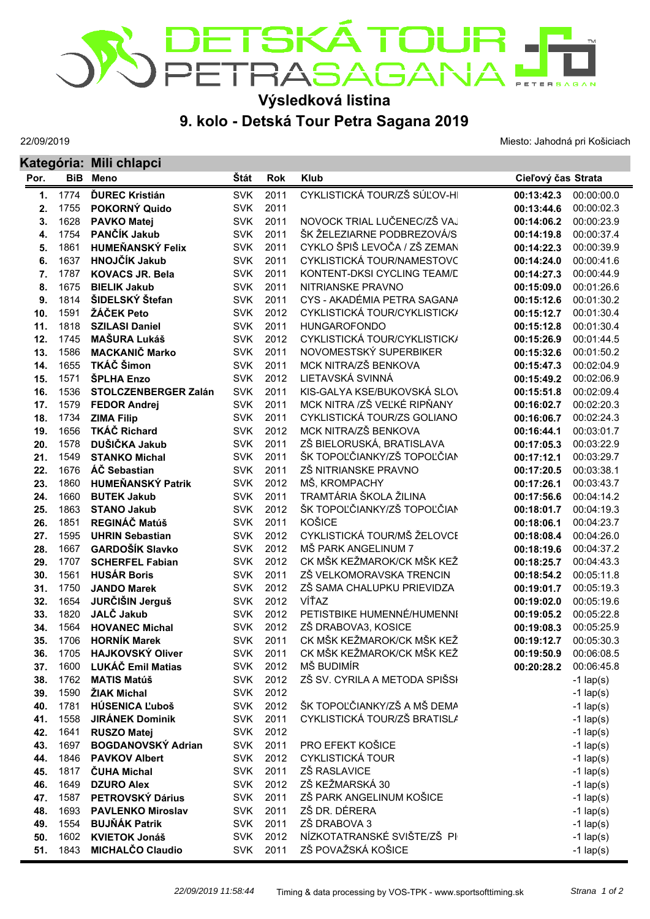

## **Výsledková listina**

## **9. kolo - Detská Tour Petra Sagana 2019**

22/09/2019

Miesto: Jahodná pri Košiciach

|      |            | Kategória: Mili chlapci   |            |            |                               |                    |             |
|------|------------|---------------------------|------------|------------|-------------------------------|--------------------|-------------|
| Por. | <b>BiB</b> | <b>Meno</b>               | Štát       | <b>Rok</b> | <b>Klub</b>                   | Cieľový čas Strata |             |
| 1.   | 1774       | <b>ĎUREC Kristián</b>     | <b>SVK</b> | 2011       | CYKLISTICKÁ TOUR/ZŠ SÚĽOV-HI  | 00:13:42.3         | 00:00:00.0  |
| 2.   | 1755       | POKORNÝ Quido             | <b>SVK</b> | 2011       |                               | 00:13:44.6         | 00:00:02.3  |
| 3.   | 1628       | <b>PAVKO Matej</b>        | <b>SVK</b> | 2011       | NOVOCK TRIAL LUČENEC/ZŠ VAJ   | 00:14:06.2         | 00:00:23.9  |
| 4.   | 1754       | PANČÍK Jakub              | <b>SVK</b> | 2011       | ŠK ŽELEZIARNE PODBREZOVÁ/S    | 00:14:19.8         | 00:00:37.4  |
| 5.   | 1861       | <b>HUMEŇANSKÝ Felix</b>   | <b>SVK</b> | 2011       | CYKLO ŠPIŠ LEVOČA / ZŠ ZEMAN  | 00:14:22.3         | 00:00:39.9  |
| 6.   | 1637       | <b>HNOJČÍK Jakub</b>      | <b>SVK</b> | 2011       | CYKLISTICKÁ TOUR/NAMESTOVC    | 00:14:24.0         | 00:00:41.6  |
| 7.   | 1787       | <b>KOVACS JR. Bela</b>    | <b>SVK</b> | 2011       | KONTENT-DKSI CYCLING TEAM/D   | 00:14:27.3         | 00:00:44.9  |
| 8.   | 1675       | <b>BIELIK Jakub</b>       | <b>SVK</b> | 2011       | NITRIANSKE PRAVNO             | 00:15:09.0         | 00:01:26.6  |
| 9.   | 1814       | ŠIDELSKÝ Štefan           | <b>SVK</b> | 2011       | CYS - AKADÉMIA PETRA SAGANA   | 00:15:12.6         | 00:01:30.2  |
| 10.  | 1591       | ŽÁČEK Peto                | <b>SVK</b> | 2012       | CYKLISTICKÁ TOUR/CYKLISTICK/  | 00:15:12.7         | 00:01:30.4  |
| 11.  | 1818       | <b>SZILASI Daniel</b>     | <b>SVK</b> | 2011       | <b>HUNGAROFONDO</b>           | 00:15:12.8         | 00:01:30.4  |
| 12.  | 1745       | <b>MAŠURA Lukáš</b>       | <b>SVK</b> | 2012       | CYKLISTICKÁ TOUR/CYKLISTICK/  | 00:15:26.9         | 00:01:44.5  |
| 13.  | 1586       | <b>MACKANIČ Marko</b>     | <b>SVK</b> | 2011       | NOVOMESTSKÝ SUPERBIKER        | 00:15:32.6         | 00:01:50.2  |
| 14.  | 1655       | TKÁČ Šimon                | <b>SVK</b> | 2011       | MCK NITRA/ZŠ BENKOVA          | 00:15:47.3         | 00:02:04.9  |
| 15.  | 1571       | <b>SPLHA Enzo</b>         | <b>SVK</b> | 2012       | LIETAVSKÁ SVINNÁ              | 00:15:49.2         | 00:02:06.9  |
| 16.  | 1536       | STOLCZENBERGER Zalán      | <b>SVK</b> | 2011       | KIS-GALYA KSE/BUKOVSKÁ SLOV   | 00:15:51.8         | 00:02:09.4  |
| 17.  | 1579       | <b>FEDOR Andrej</b>       | <b>SVK</b> | 2011       | MCK NITRA /ZŠ VEĽKÉ RIPŇANY   | 00:16:02.7         | 00:02:20.3  |
| 18.  | 1734       | <b>ZIMA Filip</b>         | <b>SVK</b> | 2011       | CYKLISTICKÁ TOUR/ZS GOLIANO   | 00:16:06.7         | 00:02:24.3  |
| 19.  | 1656       | <b>TKÁČ Richard</b>       | <b>SVK</b> | 2012       | MCK NITRA/ZŠ BENKOVA          | 00:16:44.1         | 00:03:01.7  |
| 20.  | 1578       | DUŠIČKA Jakub             | <b>SVK</b> | 2011       | ZŠ BIELORUSKÁ, BRATISLAVA     | 00:17:05.3         | 00:03:22.9  |
| 21.  | 1549       | <b>STANKO Michal</b>      | <b>SVK</b> | 2011       | ŠK TOPOĽČIANKY/ZŠ TOPOĽČIAN   | 00:17:12.1         | 00:03:29.7  |
| 22.  | 1676       | ÁČ Sebastian              | <b>SVK</b> | 2011       | ZŠ NITRIANSKE PRAVNO          | 00:17:20.5         | 00:03:38.1  |
| 23.  | 1860       | <b>HUMEŇANSKÝ Patrik</b>  | <b>SVK</b> | 2012       | MŠ, KROMPACHY                 | 00:17:26.1         | 00:03:43.7  |
| 24.  | 1660       | <b>BUTEK Jakub</b>        | <b>SVK</b> | 2011       | TRAMTÁRIA ŠKOLA ŽILINA        | 00:17:56.6         | 00:04:14.2  |
| 25.  | 1863       | <b>STANO Jakub</b>        | <b>SVK</b> | 2012       | ŠK TOPOĽČIANKY/ZŠ TOPOĽČIAN   | 00:18:01.7         | 00:04:19.3  |
| 26.  | 1851       | REGINÁČ Matúš             | <b>SVK</b> | 2011       | KOŠICE                        | 00:18:06.1         | 00:04:23.7  |
| 27.  | 1595       | <b>UHRIN Sebastian</b>    | <b>SVK</b> | 2012       | CYKLISTICKÁ TOUR/MŠ ŽELOVCE   | 00:18:08.4         | 00:04:26.0  |
| 28.  | 1667       | <b>GARDOŠÍK Slavko</b>    | <b>SVK</b> | 2012       | MŠ PARK ANGELINUM 7           | 00:18:19.6         | 00:04:37.2  |
| 29.  | 1707       | <b>SCHERFEL Fabian</b>    | <b>SVK</b> | 2012       | CK MŠK KEŽMAROK/CK MŠK KEŽ    | 00:18:25.7         | 00:04:43.3  |
| 30.  | 1561       | <b>HUSÁR Boris</b>        | <b>SVK</b> | 2011       | ZŠ VELKOMORAVSKA TRENCIN      | 00:18:54.2         | 00:05:11.8  |
| 31.  | 1750       | <b>JANDO Marek</b>        | <b>SVK</b> | 2012       | ZŠ SAMA CHALUPKU PRIEVIDZA    | 00:19:01.7         | 00:05:19.3  |
| 32.  | 1654       | JURČIŠIN Jerguš           | <b>SVK</b> | 2012       | VÍŤAZ                         | 00:19:02.0         | 00:05:19.6  |
| 33.  | 1820       | JALČ Jakub                | <b>SVK</b> | 2012       | PETISTBIKE HUMENNÉ/HUMENNI    | 00:19:05.2         | 00:05:22.8  |
| 34.  | 1564       | <b>HOVANEC Michal</b>     | <b>SVK</b> | 2012       | ZŠ DRABOVA3, KOSICE           | 00:19:08.3         | 00:05:25.9  |
| 35.  | 1706       | <b>HORNÍK Marek</b>       | SVK        | 2011       | CK MŠK KEŽMAROK/CK MŠK KEŽ    | 00:19:12.7         | 00:05:30.3  |
| 36.  | 1705       | <b>HAJKOVSKÝ Oliver</b>   | <b>SVK</b> | 2011       | CK MŠK KEŽMAROK/CK MŠK KEŽ    | 00:19:50.9         | 00:06:08.5  |
| 37.  | 1600       | LUKÁČ Emil Matias         | <b>SVK</b> | 2012       | MŠ BUDIMÍR                    | 00:20:28.2         | 00:06:45.8  |
| 38.  | 1762       | <b>MATIS Matúš</b>        | <b>SVK</b> | 2012       | ZŠ SV. CYRILA A METODA SPIŠSI |                    | $-1$ lap(s) |
| 39.  | 1590       | ŽIAK Michal               | <b>SVK</b> | 2012       |                               |                    | $-1$ lap(s) |
| 40.  | 1781       | <b>HÚSENICA Ľuboš</b>     | <b>SVK</b> | 2012       | ŠK TOPOĽČIANKY/ZŠ A MŠ DEMA   |                    | $-1$ lap(s) |
| 41.  | 1558       | <b>JIRÁNEK Dominik</b>    | <b>SVK</b> | 2011       | CYKLISTICKÁ TOUR/ZŠ BRATISLA  |                    | $-1$ lap(s) |
| 42.  | 1641       | <b>RUSZO Matej</b>        | <b>SVK</b> | 2012       |                               |                    | $-1$ lap(s) |
| 43.  | 1697       | <b>BOGDANOVSKÝ Adrian</b> | <b>SVK</b> | 2011       | PRO EFEKT KOŠICE              |                    | $-1$ lap(s) |
| 44.  | 1846       | <b>PAVKOV Albert</b>      | <b>SVK</b> | 2012       | <b>CYKLISTICKÁ TOUR</b>       |                    | $-1$ lap(s) |
| 45.  | 1817       | <b>ČUHA Michal</b>        | <b>SVK</b> | 2011       | ZŠ RASLAVICE                  |                    | $-1$ lap(s) |
| 46.  | 1649       | <b>DZURO Alex</b>         | <b>SVK</b> | 2012       | ZŠ KEŽMARSKÁ 30               |                    | $-1$ lap(s) |
| 47.  | 1587       | PETROVSKÝ Dárius          | <b>SVK</b> | 2011       | ZŠ PARK ANGELINUM KOŠICE      |                    | $-1$ lap(s) |
| 48.  | 1693       | <b>PAVLENKO Miroslav</b>  | <b>SVK</b> | 2011       | ZŠ DR. DÉRERA                 |                    | $-1$ lap(s) |
| 49.  | 1554       | <b>BUJŇÁK Patrik</b>      | <b>SVK</b> | 2011       | ZŠ DRABOVA 3                  |                    | $-1$ lap(s) |
| 50.  | 1602       | <b>KVIETOK Jonáš</b>      | <b>SVK</b> | 2012       | NÍZKOTATRANSKÉ SVIŠTE/ZŠ PI   |                    | $-1$ lap(s) |
| 51.  | 1843       | <b>MICHALČO Claudio</b>   | <b>SVK</b> | 2011       | ZŠ POVAŽSKÁ KOŠICE            |                    | $-1$ lap(s) |